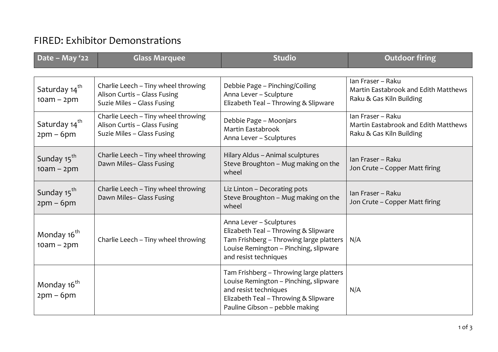## FIRED: Exhibitor Demonstrations

| Date - May '22                            | <b>Glass Marquee</b>                                                                              | <b>Studio</b>                                                                                                                                                                       | <b>Outdoor firing</b>                                                                 |
|-------------------------------------------|---------------------------------------------------------------------------------------------------|-------------------------------------------------------------------------------------------------------------------------------------------------------------------------------------|---------------------------------------------------------------------------------------|
| Saturday 14 <sup>th</sup><br>$10am - 2pm$ | Charlie Leech - Tiny wheel throwing<br>Alison Curtis - Glass Fusing<br>Suzie Miles - Glass Fusing | Debbie Page - Pinching/Coiling<br>Anna Lever - Sculpture<br>Elizabeth Teal - Throwing & Slipware                                                                                    | Ian Fraser - Raku<br>Martin Eastabrook and Edith Matthews<br>Raku & Gas Kiln Building |
| Saturday 14 <sup>th</sup><br>$2pm-6pm$    | Charlie Leech - Tiny wheel throwing<br>Alison Curtis - Glass Fusing<br>Suzie Miles - Glass Fusing | Debbie Page - Moonjars<br>Martin Eastabrook<br>Anna Lever - Sculptures                                                                                                              | Ian Fraser - Raku<br>Martin Eastabrook and Edith Matthews<br>Raku & Gas Kiln Building |
| Sunday 15 <sup>th</sup><br>$10am - 2pm$   | Charlie Leech - Tiny wheel throwing<br>Dawn Miles- Glass Fusing                                   | Hilary Aldus - Animal sculptures<br>Steve Broughton - Mug making on the<br>wheel                                                                                                    | Ian Fraser - Raku<br>Jon Crute - Copper Matt firing                                   |
| Sunday 15 <sup>th</sup><br>$2pm-6pm$      | Charlie Leech - Tiny wheel throwing<br>Dawn Miles- Glass Fusing                                   | Liz Linton - Decorating pots<br>Steve Broughton - Mug making on the<br>wheel                                                                                                        | Ian Fraser - Raku<br>Jon Crute - Copper Matt firing                                   |
| Monday 16 <sup>th</sup><br>$10am - 2pm$   | Charlie Leech - Tiny wheel throwing                                                               | Anna Lever - Sculptures<br>Elizabeth Teal - Throwing & Slipware<br>Tam Frishberg - Throwing large platters<br>Louise Remington - Pinching, slipware<br>and resist techniques        | N/A                                                                                   |
| Monday 16 <sup>th</sup><br>$2pm-6pm$      |                                                                                                   | Tam Frishberg - Throwing large platters<br>Louise Remington - Pinching, slipware<br>and resist techniques<br>Elizabeth Teal - Throwing & Slipware<br>Pauline Gibson - pebble making | N/A                                                                                   |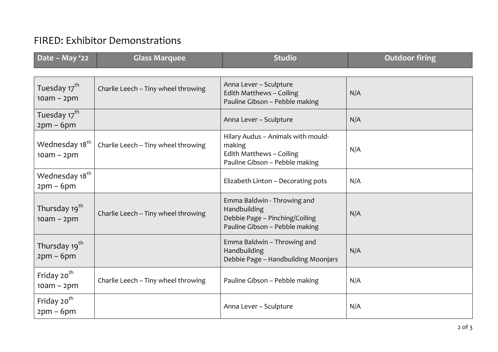## FIRED: Exhibitor Demonstrations

| Date - May '22                             | <b>Glass Marquee</b>                | <b>Studio</b>                                                                                                   | <b>Outdoor firing</b> |
|--------------------------------------------|-------------------------------------|-----------------------------------------------------------------------------------------------------------------|-----------------------|
| Tuesday 17 <sup>th</sup><br>$10am - 2pm$   | Charlie Leech - Tiny wheel throwing | Anna Lever - Sculpture<br>Edith Matthews - Coiling<br>Pauline Gibson - Pebble making                            | N/A                   |
| Tuesday 17 <sup>th</sup><br>$2pm-6pm$      |                                     | Anna Lever - Sculpture                                                                                          | N/A                   |
| Wednesday 18 <sup>th</sup><br>$10am - 2pm$ | Charlie Leech - Tiny wheel throwing | Hilary Audus - Animals with mould-<br>making<br>Edith Matthews - Coiling<br>Pauline Gibson - Pebble making      | N/A                   |
| Wednesday 18 <sup>th</sup><br>$2pm-6pm$    |                                     | Elizabeth Linton - Decorating pots                                                                              | N/A                   |
| Thursday 19 <sup>th</sup><br>$10am - 2pm$  | Charlie Leech - Tiny wheel throwing | Emma Baldwin - Throwing and<br>Handbuilding<br>Debbie Page - Pinching/Coiling<br>Pauline Gibson - Pebble making | N/A                   |
| Thursday 19 <sup>th</sup><br>$2pm - 6pm$   |                                     | Emma Baldwin - Throwing and<br>Handbuilding<br>Debbie Page - Handbuilding Moonjars                              | N/A                   |
| Friday 20 <sup>th</sup><br>$10am - 2pm$    | Charlie Leech - Tiny wheel throwing | Pauline Gibson - Pebble making                                                                                  | N/A                   |
| Friday 20 <sup>th</sup><br>$2pm-6pm$       |                                     | Anna Lever - Sculpture                                                                                          | N/A                   |